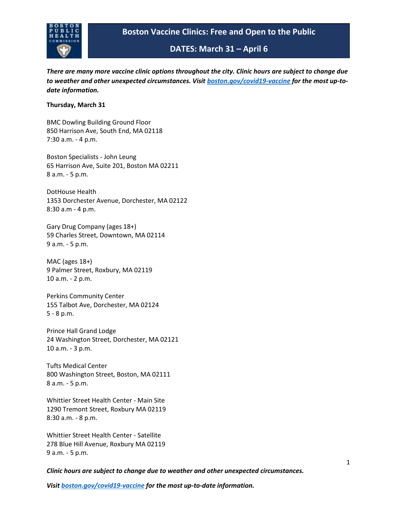

*There are many more vaccine clinic options throughout the city. Clinic hours are subject to change due to weather and other unexpected circumstances. Visit [boston.gov/covid19-vaccine](https://gcc02.safelinks.protection.outlook.com/?url=http%3A%2F%2Fboston.gov%2Fcovid19-vaccine&data=04%7C01%7CJKaiser%40bphc.org%7Cdf6949f5a0b64e08ac8c08da1279ac1a%7Cff5b5bc8925b471f942aeb176c03ab36%7C1%7C0%7C637842611027898246%7CUnknown%7CTWFpbGZsb3d8eyJWIjoiMC4wLjAwMDAiLCJQIjoiV2luMzIiLCJBTiI6Ik1haWwiLCJXVCI6Mn0%3D%7C3000&sdata=lW1da3fMnxocxdJFAHGl1BzvuF0FhVdSvi8ZOX%2BiBaY%3D&reserved=0) for the most up-todate information.*

### **Thursday, March 31**

BMC Dowling Building Ground Floor 850 Harrison Ave, South End, MA 02118 7:30 a.m. - 4 p.m.

Boston Specialists - John Leung 65 Harrison Ave, Suite 201, Boston MA 02211 8 a.m. - 5 p.m.

DotHouse Health 1353 Dorchester Avenue, Dorchester, MA 02122 8:30 a.m - 4 p.m.

Gary Drug Company (ages 18+) 59 Charles Street, Downtown, MA 02114 9 a.m. - 5 p.m.

MAC (ages 18+) 9 Palmer Street, Roxbury, MA 02119 10 a.m. - 2 p.m.

Perkins Community Center 155 Talbot Ave, Dorchester, MA 02124 5 - 8 p.m.

Prince Hall Grand Lodge 24 Washington Street, Dorchester, MA 02121 10 a.m. - 3 p.m.

Tufts Medical Center 800 Washington Street, Boston, MA 02111 8 a.m. - 5 p.m.

Whittier Street Health Center - Main Site 1290 Tremont Street, Roxbury MA 02119 8:30 a.m. - 8 p.m.

Whittier Street Health Center - Satellite 278 Blue Hill Avenue, Roxbury MA 02119 9 a.m. - 5 p.m.

*Clinic hours are subject to change due to weather and other unexpected circumstances.*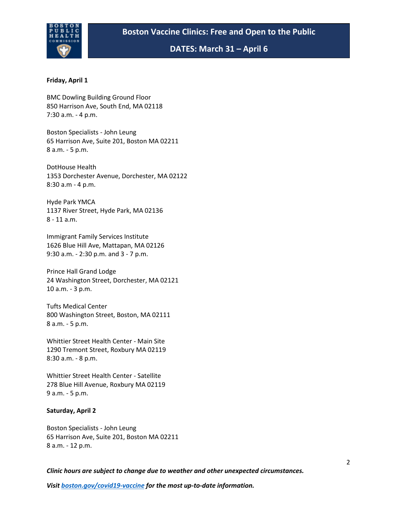

#### **Friday, April 1**

BMC Dowling Building Ground Floor 850 Harrison Ave, South End, MA 02118 7:30 a.m. - 4 p.m.

Boston Specialists - John Leung 65 Harrison Ave, Suite 201, Boston MA 02211 8 a.m. - 5 p.m.

DotHouse Health 1353 Dorchester Avenue, Dorchester, MA 02122 8:30 a.m - 4 p.m.

Hyde Park YMCA 1137 River Street, Hyde Park, MA 02136 8 - 11 a.m.

Immigrant Family Services Institute 1626 Blue Hill Ave, Mattapan, MA 02126 9:30 a.m. - 2:30 p.m. and 3 - 7 p.m.

Prince Hall Grand Lodge 24 Washington Street, Dorchester, MA 02121 10 a.m. - 3 p.m.

Tufts Medical Center 800 Washington Street, Boston, MA 02111 8 a.m. - 5 p.m.

Whittier Street Health Center - Main Site 1290 Tremont Street, Roxbury MA 02119 8:30 a.m. - 8 p.m.

Whittier Street Health Center - Satellite 278 Blue Hill Avenue, Roxbury MA 02119 9 a.m. - 5 p.m.

#### **Saturday, April 2**

Boston Specialists - John Leung 65 Harrison Ave, Suite 201, Boston MA 02211 8 a.m. - 12 p.m.

*Clinic hours are subject to change due to weather and other unexpected circumstances.*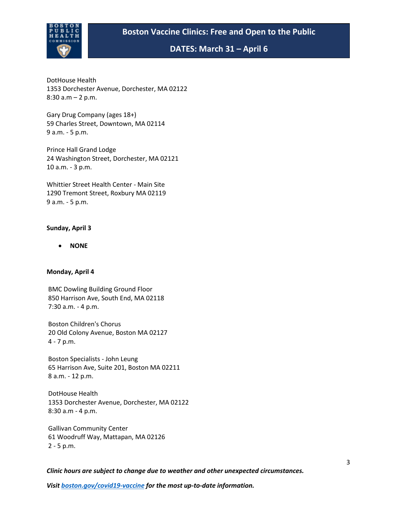# **Boston Vaccine Clinics: Free and Open to the Public**



**DATES: March 31 – April 6**

DotHouse Health 1353 Dorchester Avenue, Dorchester, MA 02122 8:30 a.m – 2 p.m.

Gary Drug Company (ages 18+) 59 Charles Street, Downtown, MA 02114 9 a.m. - 5 p.m.

Prince Hall Grand Lodge 24 Washington Street, Dorchester, MA 02121 10 a.m. - 3 p.m.

Whittier Street Health Center - Main Site 1290 Tremont Street, Roxbury MA 02119 9 a.m. - 5 p.m.

### **Sunday, April 3**

• **NONE**

### **Monday, April 4**

BMC Dowling Building Ground Floor 850 Harrison Ave, South End, MA 02118 7:30 a.m. - 4 p.m.

Boston Children's Chorus 20 Old Colony Avenue, Boston MA 02127 4 - 7 p.m.

Boston Specialists - John Leung 65 Harrison Ave, Suite 201, Boston MA 02211 8 a.m. - 12 p.m.

DotHouse Health 1353 Dorchester Avenue, Dorchester, MA 02122 8:30 a.m - 4 p.m.

Gallivan Community Center 61 Woodruff Way, Mattapan, MA 02126 2 - 5 p.m.

*Clinic hours are subject to change due to weather and other unexpected circumstances.*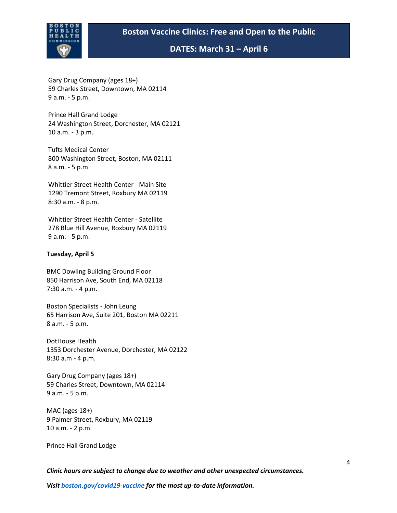

Gary Drug Company (ages 18+) 59 Charles Street, Downtown, MA 02114 9 a.m. - 5 p.m.

Prince Hall Grand Lodge 24 Washington Street, Dorchester, MA 02121 10 a.m. - 3 p.m.

Tufts Medical Center 800 Washington Street, Boston, MA 02111 8 a.m. - 5 p.m. 

Whittier Street Health Center - Main Site 1290 Tremont Street, Roxbury MA 02119 8:30 a.m. - 8 p.m.

Whittier Street Health Center - Satellite  278 Blue Hill Avenue, Roxbury MA 02119 9 a.m. - 5 p.m.

### **Tuesday, April 5**

BMC Dowling Building Ground Floor 850 Harrison Ave, South End, MA 02118 7:30 a.m. - 4 p.m.

Boston Specialists - John Leung 65 Harrison Ave, Suite 201, Boston MA 02211 8 a.m. - 5 p.m.

DotHouse Health 1353 Dorchester Avenue, Dorchester, MA 02122 8:30 a.m - 4 p.m.

Gary Drug Company (ages 18+) 59 Charles Street, Downtown, MA 02114 9 a.m. - 5 p.m.

MAC (ages 18+) 9 Palmer Street, Roxbury, MA 02119 10 a.m. - 2 p.m.

Prince Hall Grand Lodge

*Clinic hours are subject to change due to weather and other unexpected circumstances.*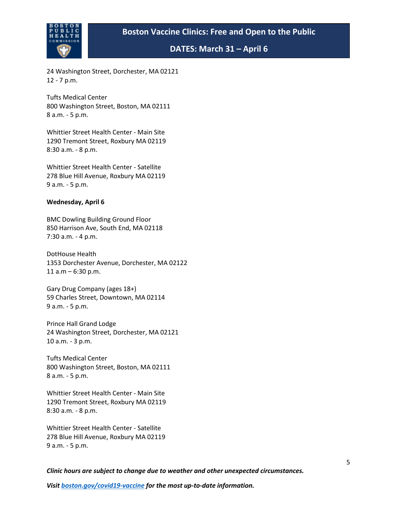

24 Washington Street, Dorchester, MA 02121 12 - 7 p.m.

Tufts Medical Center 800 Washington Street, Boston, MA 02111 8 a.m. - 5 p.m.

Whittier Street Health Center - Main Site 1290 Tremont Street, Roxbury MA 02119 8:30 a.m. - 8 p.m.

Whittier Street Health Center - Satellite 278 Blue Hill Avenue, Roxbury MA 02119 9 a.m. - 5 p.m.

### **Wednesday, April 6**

BMC Dowling Building Ground Floor 850 Harrison Ave, South End, MA 02118 7:30 a.m. - 4 p.m.

DotHouse Health 1353 Dorchester Avenue, Dorchester, MA 02122 11  $a.m - 6:30 p.m.$ 

Gary Drug Company (ages 18+) 59 Charles Street, Downtown, MA 02114 9 a.m. - 5 p.m.

Prince Hall Grand Lodge 24 Washington Street, Dorchester, MA 02121 10 a.m. - 3 p.m.

Tufts Medical Center 800 Washington Street, Boston, MA 02111 8 a.m. - 5 p.m.

Whittier Street Health Center - Main Site 1290 Tremont Street, Roxbury MA 02119 8:30 a.m. - 8 p.m.

Whittier Street Health Center - Satellite 278 Blue Hill Avenue, Roxbury MA 02119 9 a.m. - 5 p.m.

*Clinic hours are subject to change due to weather and other unexpected circumstances.*